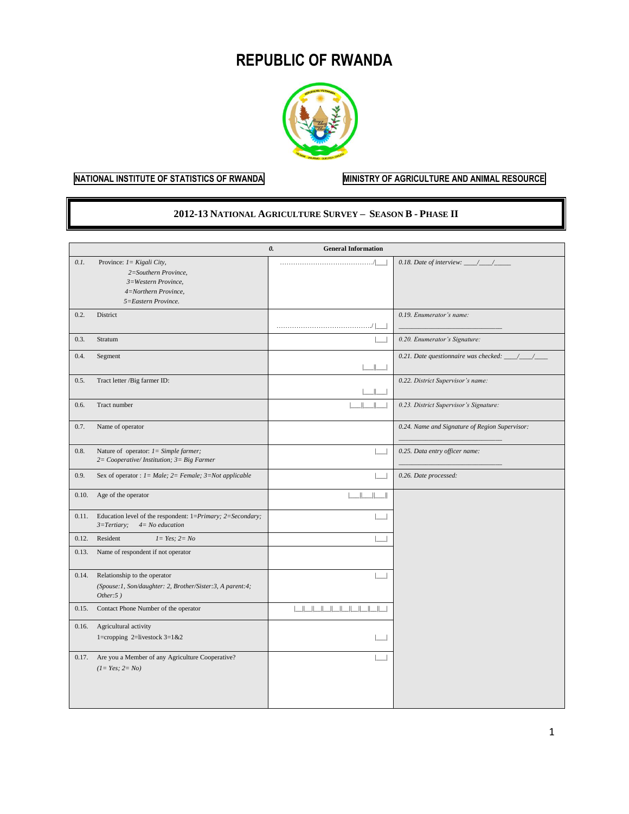# **REPUBLIC OF RWANDA**



## **NATIONAL INSTITUTE OF STATISTICS OF RWANDA MINISTRY OF AGRICULTURE AND ANIMAL RESOURCE**

#### **2012-13 NATIONAL AGRICULTURE SURVEY – SEASON B - PHASE II**

|       |                                                                                                                             | 0.<br><b>General Information</b>                                            |                                                              |
|-------|-----------------------------------------------------------------------------------------------------------------------------|-----------------------------------------------------------------------------|--------------------------------------------------------------|
| 0.1.  | Province: $1 = Kigali City$ ,<br>2=Southern Province,<br>3=Western Province,<br>4=Northern Province,<br>5=Eastern Province. |                                                                             | 0.18. Date of interview: $\_\_\_\_\_\_\_\_\_\_\_\_\_\_\_\_\$ |
| 0.2.  | District                                                                                                                    |                                                                             | 0.19. Enumerator's name:                                     |
| 0.3.  | Stratum                                                                                                                     |                                                                             | 0.20. Enumerator's Signature:                                |
| 0.4.  | Segment                                                                                                                     | أحطاك                                                                       | 0.21. Date questionnaire was checked: $\frac{1}{\sqrt{2}}$   |
| 0.5.  | Tract letter /Big farmer ID:                                                                                                | $\parallel$                                                                 | 0.22. District Supervisor's name:                            |
| 0.6.  | Tract number                                                                                                                | $\parallel$                                                                 | 0.23. District Supervisor's Signature:                       |
| 0.7.  | Name of operator                                                                                                            |                                                                             | 0.24. Name and Signature of Region Supervisor:               |
| 0.8.  | Nature of operator: $I = Simple farmer;$<br>$2=Cooperative/Institution$ ; $3=Big\$ Farmer                                   | $\blacksquare$                                                              | 0.25. Data entry officer name:                               |
| 0.9.  | Sex of operator : $1 = Male$ ; $2 = Female$ ; $3 = Not$ applicable                                                          |                                                                             | 0.26. Date processed:                                        |
| 0.10. | Age of the operator                                                                                                         | $\parallel$<br>الطالا                                                       |                                                              |
| 0.11. | Education level of the respondent: 1=Primary; 2=Secondary;<br>$3=Tertiary;$<br>$4 = No$ education                           |                                                                             |                                                              |
| 0.12. | Resident<br>$I=Yes; 2=No$                                                                                                   |                                                                             |                                                              |
| 0.13. | Name of respondent if not operator                                                                                          |                                                                             |                                                              |
| 0.14. | Relationship to the operator<br>(Spouse: 1, Son/daughter: 2, Brother/Sister: 3, A parent: 4;<br>Other:5)                    |                                                                             |                                                              |
| 0.15. | Contact Phone Number of the operator                                                                                        | $\blacksquare$<br>$\mathbb{I}$<br>$\mathbb{I}$<br>$\mathbb{I}$ $\mathbb{I}$ |                                                              |
| 0.16. | Agricultural activity<br>1=cropping 2=livestock $3=1&82$                                                                    |                                                                             |                                                              |
|       | 0.17. Are you a Member of any Agriculture Cooperative?<br>$(I = Yes; 2 = No)$                                               |                                                                             |                                                              |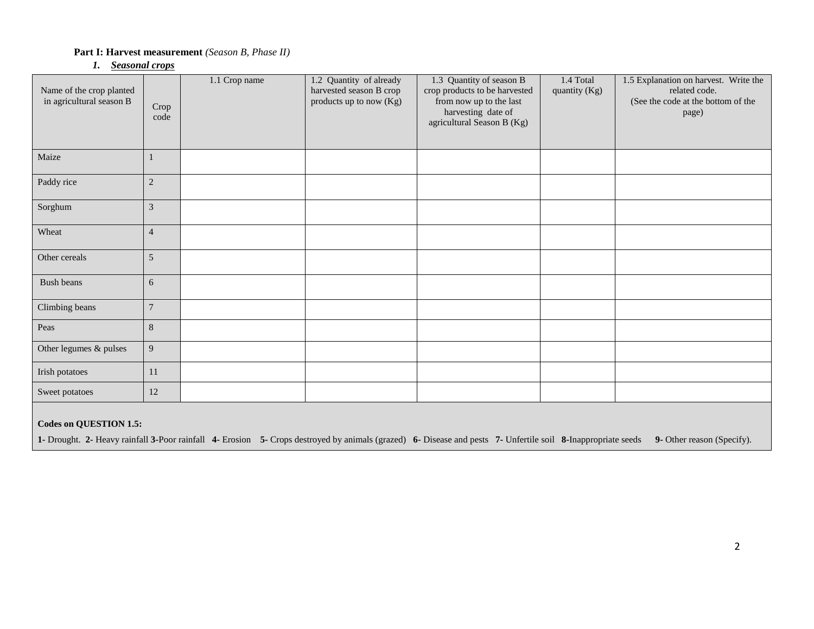#### **Part I: Harvest measurement** *(Season B, Phase II)*

#### *1. Seasonal crops*

| Name of the crop planted<br>in agricultural season B | Crop<br>code   | 1.1 Crop name | 1.2 Quantity of already<br>harvested season B crop<br>products up to now (Kg) | 1.3 Quantity of season B<br>crop products to be harvested<br>from now up to the last<br>harvesting date of<br>agricultural Season B (Kg) | 1.4 Total<br>quantity (Kg) | 1.5 Explanation on harvest. Write the<br>related code.<br>(See the code at the bottom of the<br>page) |
|------------------------------------------------------|----------------|---------------|-------------------------------------------------------------------------------|------------------------------------------------------------------------------------------------------------------------------------------|----------------------------|-------------------------------------------------------------------------------------------------------|
| Maize                                                |                |               |                                                                               |                                                                                                                                          |                            |                                                                                                       |
| Paddy rice                                           | $\overline{2}$ |               |                                                                               |                                                                                                                                          |                            |                                                                                                       |
| Sorghum                                              | $\mathfrak{Z}$ |               |                                                                               |                                                                                                                                          |                            |                                                                                                       |
| Wheat                                                | $\overline{4}$ |               |                                                                               |                                                                                                                                          |                            |                                                                                                       |
| Other cereals                                        | 5              |               |                                                                               |                                                                                                                                          |                            |                                                                                                       |
| Bush beans                                           | 6              |               |                                                                               |                                                                                                                                          |                            |                                                                                                       |
| Climbing beans                                       | $\overline{7}$ |               |                                                                               |                                                                                                                                          |                            |                                                                                                       |
| Peas                                                 | 8              |               |                                                                               |                                                                                                                                          |                            |                                                                                                       |
| Other legumes & pulses                               | 9              |               |                                                                               |                                                                                                                                          |                            |                                                                                                       |
| Irish potatoes                                       | 11             |               |                                                                               |                                                                                                                                          |                            |                                                                                                       |
| Sweet potatoes                                       | $12\,$         |               |                                                                               |                                                                                                                                          |                            |                                                                                                       |

#### **Codes on QUESTION 1.5:**

1- Drought. 2- Heavy rainfall 3-Poor rainfall 4- Erosion 5- Crops destroyed by animals (grazed) 6- Disease and pests 7- Unfertile soil 8-Inappropriate seeds 9- Other reason (Specify).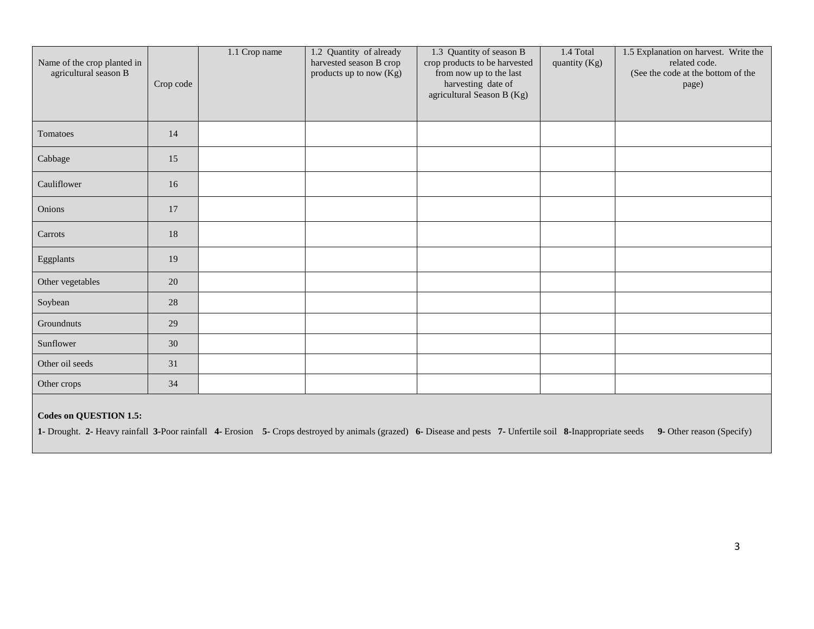| Name of the crop planted in<br>agricultural season B | Crop code | 1.1 Crop name | 1.2 Quantity of already<br>harvested season B crop<br>products up to now (Kg) | 1.3 Quantity of season B<br>crop products to be harvested<br>from now up to the last<br>harvesting date of<br>agricultural Season B (Kg) | 1.4 Total<br>quantity (Kg) | 1.5 Explanation on harvest. Write the<br>related code.<br>(See the code at the bottom of the<br>page) |
|------------------------------------------------------|-----------|---------------|-------------------------------------------------------------------------------|------------------------------------------------------------------------------------------------------------------------------------------|----------------------------|-------------------------------------------------------------------------------------------------------|
| Tomatoes                                             | 14        |               |                                                                               |                                                                                                                                          |                            |                                                                                                       |
| Cabbage                                              | 15        |               |                                                                               |                                                                                                                                          |                            |                                                                                                       |
| Cauliflower                                          | 16        |               |                                                                               |                                                                                                                                          |                            |                                                                                                       |
| Onions                                               | 17        |               |                                                                               |                                                                                                                                          |                            |                                                                                                       |
| Carrots                                              | 18        |               |                                                                               |                                                                                                                                          |                            |                                                                                                       |
| Eggplants                                            | 19        |               |                                                                               |                                                                                                                                          |                            |                                                                                                       |
| Other vegetables                                     | 20        |               |                                                                               |                                                                                                                                          |                            |                                                                                                       |
| Soybean                                              | 28        |               |                                                                               |                                                                                                                                          |                            |                                                                                                       |
| Groundnuts                                           | 29        |               |                                                                               |                                                                                                                                          |                            |                                                                                                       |
| Sunflower                                            | 30        |               |                                                                               |                                                                                                                                          |                            |                                                                                                       |
| Other oil seeds                                      | 31        |               |                                                                               |                                                                                                                                          |                            |                                                                                                       |
| Other crops                                          | 34        |               |                                                                               |                                                                                                                                          |                            |                                                                                                       |

#### **Codes on QUESTION 1.5:**

1- Drought. 2- Heavy rainfall 3-Poor rainfall 4- Erosion 5- Crops destroyed by animals (grazed) 6- Disease and pests 7- Unfertile soil 8-Inappropriate seeds 9- Other reason (Specify)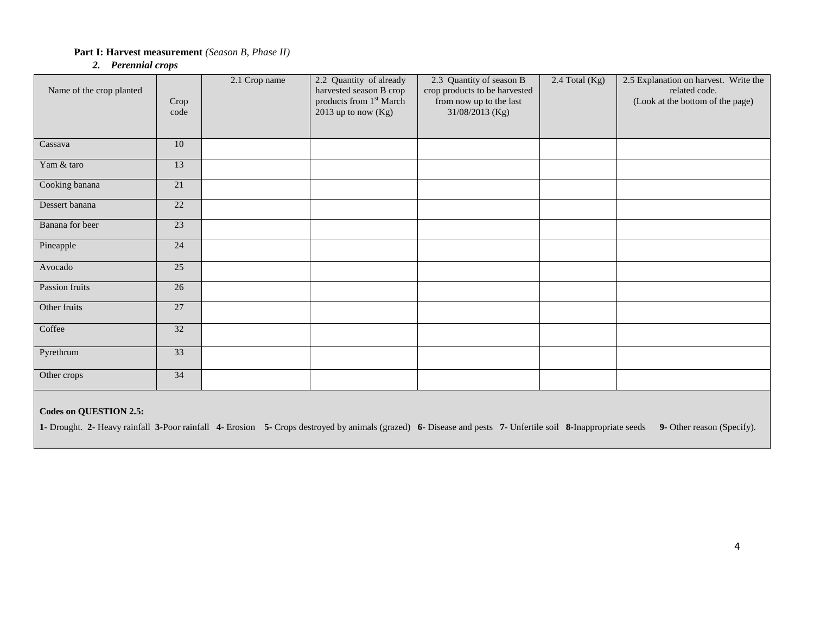#### **Part I: Harvest measurement** *(Season B, Phase II)*

#### *2. Perennial crops*

| Name of the crop planted | Crop<br>code | 2.1 Crop name | 2.2 Quantity of already<br>harvested season B crop<br>products from 1st March<br>2013 up to now (Kg) | 2.3 Quantity of season B<br>crop products to be harvested<br>from now up to the last<br>31/08/2013 (Kg) | $2.4$ Total (Kg) | 2.5 Explanation on harvest. Write the<br>related code.<br>(Look at the bottom of the page) |
|--------------------------|--------------|---------------|------------------------------------------------------------------------------------------------------|---------------------------------------------------------------------------------------------------------|------------------|--------------------------------------------------------------------------------------------|
| Cassava                  | 10           |               |                                                                                                      |                                                                                                         |                  |                                                                                            |
| Yam & taro               | 13           |               |                                                                                                      |                                                                                                         |                  |                                                                                            |
| Cooking banana           | 21           |               |                                                                                                      |                                                                                                         |                  |                                                                                            |
| Dessert banana           | 22           |               |                                                                                                      |                                                                                                         |                  |                                                                                            |
| Banana for beer          | 23           |               |                                                                                                      |                                                                                                         |                  |                                                                                            |
| Pineapple                | 24           |               |                                                                                                      |                                                                                                         |                  |                                                                                            |
| Avocado                  | 25           |               |                                                                                                      |                                                                                                         |                  |                                                                                            |
| Passion fruits           | 26           |               |                                                                                                      |                                                                                                         |                  |                                                                                            |
| Other fruits             | 27           |               |                                                                                                      |                                                                                                         |                  |                                                                                            |
| Coffee                   | 32           |               |                                                                                                      |                                                                                                         |                  |                                                                                            |
| Pyrethrum                | 33           |               |                                                                                                      |                                                                                                         |                  |                                                                                            |
| Other crops              | 34           |               |                                                                                                      |                                                                                                         |                  |                                                                                            |
|                          |              |               |                                                                                                      |                                                                                                         |                  |                                                                                            |

#### **Codes on QUESTION 2.5:**

1- Drought. 2- Heavy rainfall 3-Poor rainfall 4- Erosion 5- Crops destroyed by animals (grazed) 6- Disease and pests 7- Unfertile soil 8-Inappropriate seeds 9- Other reason (Specify).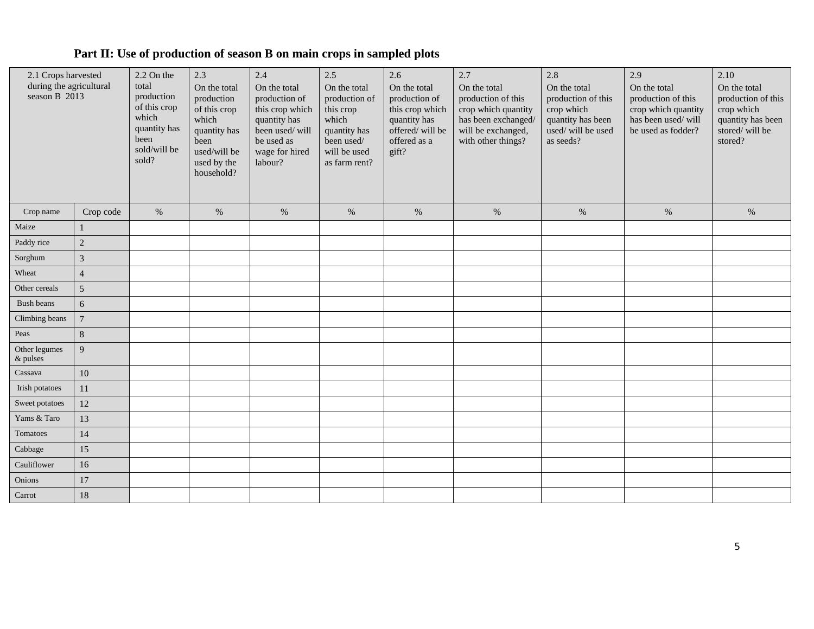| 2.1 Crops harvested<br>during the agricultural<br>season B 2013 |                | 2.2 On the<br>total<br>production<br>of this crop<br>which<br>quantity has<br>been<br>sold/will be<br>sold? | 2.3<br>On the total<br>production<br>of this crop<br>which<br>quantity has<br>been<br>used/will be<br>used by the<br>household? | 2.4<br>On the total<br>production of<br>this crop which<br>quantity has<br>been used/will<br>be used as<br>wage for hired<br>labour? | 2.5<br>On the total<br>production of<br>this crop<br>which<br>quantity has<br>been used/<br>will be used<br>as farm rent? | 2.6<br>On the total<br>production of<br>this crop which<br>quantity has<br>offered/will be<br>offered as a<br>gift? | 2.7<br>On the total<br>production of this<br>crop which quantity<br>has been exchanged/<br>will be exchanged,<br>with other things? | 2.8<br>On the total<br>production of this<br>crop which<br>quantity has been<br>used/will be used<br>as seeds? | 2.9<br>On the total<br>production of this<br>crop which quantity<br>has been used/will<br>be used as fodder? | 2.10<br>On the total<br>production of this<br>crop which<br>quantity has been<br>stored/will be<br>stored? |
|-----------------------------------------------------------------|----------------|-------------------------------------------------------------------------------------------------------------|---------------------------------------------------------------------------------------------------------------------------------|--------------------------------------------------------------------------------------------------------------------------------------|---------------------------------------------------------------------------------------------------------------------------|---------------------------------------------------------------------------------------------------------------------|-------------------------------------------------------------------------------------------------------------------------------------|----------------------------------------------------------------------------------------------------------------|--------------------------------------------------------------------------------------------------------------|------------------------------------------------------------------------------------------------------------|
| Crop name                                                       | Crop code      | $\%$                                                                                                        | $\%$                                                                                                                            | $\%$                                                                                                                                 | $\%$                                                                                                                      | $\%$                                                                                                                | $\%$                                                                                                                                | $\%$                                                                                                           | $\%$                                                                                                         | $\%$                                                                                                       |
| Maize                                                           |                |                                                                                                             |                                                                                                                                 |                                                                                                                                      |                                                                                                                           |                                                                                                                     |                                                                                                                                     |                                                                                                                |                                                                                                              |                                                                                                            |
| Paddy rice                                                      | $\mathbf{2}$   |                                                                                                             |                                                                                                                                 |                                                                                                                                      |                                                                                                                           |                                                                                                                     |                                                                                                                                     |                                                                                                                |                                                                                                              |                                                                                                            |
| Sorghum                                                         | $\mathfrak{Z}$ |                                                                                                             |                                                                                                                                 |                                                                                                                                      |                                                                                                                           |                                                                                                                     |                                                                                                                                     |                                                                                                                |                                                                                                              |                                                                                                            |
| Wheat                                                           | $\overline{4}$ |                                                                                                             |                                                                                                                                 |                                                                                                                                      |                                                                                                                           |                                                                                                                     |                                                                                                                                     |                                                                                                                |                                                                                                              |                                                                                                            |
| Other cereals                                                   | $\sqrt{5}$     |                                                                                                             |                                                                                                                                 |                                                                                                                                      |                                                                                                                           |                                                                                                                     |                                                                                                                                     |                                                                                                                |                                                                                                              |                                                                                                            |
| Bush beans                                                      | 6              |                                                                                                             |                                                                                                                                 |                                                                                                                                      |                                                                                                                           |                                                                                                                     |                                                                                                                                     |                                                                                                                |                                                                                                              |                                                                                                            |
| Climbing beans                                                  | $\overline{7}$ |                                                                                                             |                                                                                                                                 |                                                                                                                                      |                                                                                                                           |                                                                                                                     |                                                                                                                                     |                                                                                                                |                                                                                                              |                                                                                                            |
| Peas                                                            | 8              |                                                                                                             |                                                                                                                                 |                                                                                                                                      |                                                                                                                           |                                                                                                                     |                                                                                                                                     |                                                                                                                |                                                                                                              |                                                                                                            |
| Other legumes<br>& pulses                                       | 9              |                                                                                                             |                                                                                                                                 |                                                                                                                                      |                                                                                                                           |                                                                                                                     |                                                                                                                                     |                                                                                                                |                                                                                                              |                                                                                                            |
| Cassava                                                         | 10             |                                                                                                             |                                                                                                                                 |                                                                                                                                      |                                                                                                                           |                                                                                                                     |                                                                                                                                     |                                                                                                                |                                                                                                              |                                                                                                            |
| Irish potatoes                                                  | $11\,$         |                                                                                                             |                                                                                                                                 |                                                                                                                                      |                                                                                                                           |                                                                                                                     |                                                                                                                                     |                                                                                                                |                                                                                                              |                                                                                                            |
| Sweet potatoes                                                  | 12             |                                                                                                             |                                                                                                                                 |                                                                                                                                      |                                                                                                                           |                                                                                                                     |                                                                                                                                     |                                                                                                                |                                                                                                              |                                                                                                            |
| Yams & Taro                                                     | 13             |                                                                                                             |                                                                                                                                 |                                                                                                                                      |                                                                                                                           |                                                                                                                     |                                                                                                                                     |                                                                                                                |                                                                                                              |                                                                                                            |
| Tomatoes                                                        | 14             |                                                                                                             |                                                                                                                                 |                                                                                                                                      |                                                                                                                           |                                                                                                                     |                                                                                                                                     |                                                                                                                |                                                                                                              |                                                                                                            |
| Cabbage                                                         | 15             |                                                                                                             |                                                                                                                                 |                                                                                                                                      |                                                                                                                           |                                                                                                                     |                                                                                                                                     |                                                                                                                |                                                                                                              |                                                                                                            |
| Cauliflower                                                     | 16             |                                                                                                             |                                                                                                                                 |                                                                                                                                      |                                                                                                                           |                                                                                                                     |                                                                                                                                     |                                                                                                                |                                                                                                              |                                                                                                            |
| Onions                                                          | 17             |                                                                                                             |                                                                                                                                 |                                                                                                                                      |                                                                                                                           |                                                                                                                     |                                                                                                                                     |                                                                                                                |                                                                                                              |                                                                                                            |
| 18<br>Carrot                                                    |                |                                                                                                             |                                                                                                                                 |                                                                                                                                      |                                                                                                                           |                                                                                                                     |                                                                                                                                     |                                                                                                                |                                                                                                              |                                                                                                            |

## **Part II: Use of production of season B on main crops in sampled plots**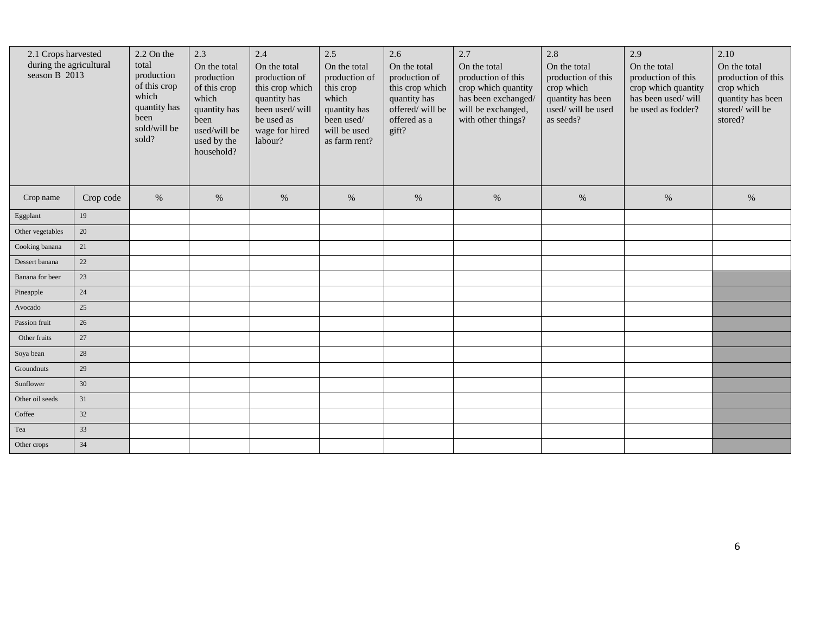| 2.1 Crops harvested<br>during the agricultural<br>season B 2013 |                   | 2.2 On the<br>total<br>production<br>of this crop<br>which<br>quantity has<br>been<br>sold/will be<br>sold? | 2.3<br>On the total<br>production<br>of this crop<br>which<br>quantity has<br>been<br>used/will be<br>used by the<br>household? | 2.4<br>On the total<br>production of<br>this crop which<br>quantity has<br>been used/will<br>be used as<br>wage for hired<br>labour? | 2.5<br>On the total<br>production of<br>this crop<br>which<br>quantity has<br>been used/<br>will be used<br>as farm rent? | 2.6<br>On the total<br>production of<br>this crop which<br>quantity has<br>offered/will be<br>offered as a<br>gift? | 2.7<br>On the total<br>production of this<br>crop which quantity<br>has been exchanged/<br>will be exchanged,<br>with other things? | 2.8<br>On the total<br>production of this<br>crop which<br>quantity has been<br>used/will be used<br>as seeds? | 2.9<br>On the total<br>production of this<br>crop which quantity<br>has been used/will<br>be used as fodder? | 2.10<br>On the total<br>production of this<br>crop which<br>quantity has been<br>stored/will be<br>stored? |
|-----------------------------------------------------------------|-------------------|-------------------------------------------------------------------------------------------------------------|---------------------------------------------------------------------------------------------------------------------------------|--------------------------------------------------------------------------------------------------------------------------------------|---------------------------------------------------------------------------------------------------------------------------|---------------------------------------------------------------------------------------------------------------------|-------------------------------------------------------------------------------------------------------------------------------------|----------------------------------------------------------------------------------------------------------------|--------------------------------------------------------------------------------------------------------------|------------------------------------------------------------------------------------------------------------|
| Crop name                                                       | Crop code<br>$\%$ |                                                                                                             | $\%$                                                                                                                            | $\%$                                                                                                                                 | %                                                                                                                         | %                                                                                                                   | %                                                                                                                                   | $\%$                                                                                                           | $\%$                                                                                                         | $\%$                                                                                                       |
| Eggplant                                                        | 19                |                                                                                                             |                                                                                                                                 |                                                                                                                                      |                                                                                                                           |                                                                                                                     |                                                                                                                                     |                                                                                                                |                                                                                                              |                                                                                                            |
| Other vegetables                                                | 20                |                                                                                                             |                                                                                                                                 |                                                                                                                                      |                                                                                                                           |                                                                                                                     |                                                                                                                                     |                                                                                                                |                                                                                                              |                                                                                                            |
| Cooking banana                                                  | 21                |                                                                                                             |                                                                                                                                 |                                                                                                                                      |                                                                                                                           |                                                                                                                     |                                                                                                                                     |                                                                                                                |                                                                                                              |                                                                                                            |
| Dessert banana                                                  | 22                |                                                                                                             |                                                                                                                                 |                                                                                                                                      |                                                                                                                           |                                                                                                                     |                                                                                                                                     |                                                                                                                |                                                                                                              |                                                                                                            |
| Banana for beer                                                 | 23                |                                                                                                             |                                                                                                                                 |                                                                                                                                      |                                                                                                                           |                                                                                                                     |                                                                                                                                     |                                                                                                                |                                                                                                              |                                                                                                            |
| Pineapple                                                       | 24                |                                                                                                             |                                                                                                                                 |                                                                                                                                      |                                                                                                                           |                                                                                                                     |                                                                                                                                     |                                                                                                                |                                                                                                              |                                                                                                            |
| Avocado                                                         | 25                |                                                                                                             |                                                                                                                                 |                                                                                                                                      |                                                                                                                           |                                                                                                                     |                                                                                                                                     |                                                                                                                |                                                                                                              |                                                                                                            |
| Passion fruit                                                   | 26                |                                                                                                             |                                                                                                                                 |                                                                                                                                      |                                                                                                                           |                                                                                                                     |                                                                                                                                     |                                                                                                                |                                                                                                              |                                                                                                            |
| Other fruits                                                    | 27                |                                                                                                             |                                                                                                                                 |                                                                                                                                      |                                                                                                                           |                                                                                                                     |                                                                                                                                     |                                                                                                                |                                                                                                              |                                                                                                            |
| Soya bean                                                       | 28                |                                                                                                             |                                                                                                                                 |                                                                                                                                      |                                                                                                                           |                                                                                                                     |                                                                                                                                     |                                                                                                                |                                                                                                              |                                                                                                            |
| Groundnuts                                                      | 29                |                                                                                                             |                                                                                                                                 |                                                                                                                                      |                                                                                                                           |                                                                                                                     |                                                                                                                                     |                                                                                                                |                                                                                                              |                                                                                                            |
| Sunflower                                                       | 30                |                                                                                                             |                                                                                                                                 |                                                                                                                                      |                                                                                                                           |                                                                                                                     |                                                                                                                                     |                                                                                                                |                                                                                                              |                                                                                                            |
| Other oil seeds                                                 | 31                |                                                                                                             |                                                                                                                                 |                                                                                                                                      |                                                                                                                           |                                                                                                                     |                                                                                                                                     |                                                                                                                |                                                                                                              |                                                                                                            |
| Coffee                                                          | 32                |                                                                                                             |                                                                                                                                 |                                                                                                                                      |                                                                                                                           |                                                                                                                     |                                                                                                                                     |                                                                                                                |                                                                                                              |                                                                                                            |
| Tea                                                             | 33                |                                                                                                             |                                                                                                                                 |                                                                                                                                      |                                                                                                                           |                                                                                                                     |                                                                                                                                     |                                                                                                                |                                                                                                              |                                                                                                            |
| 34<br>Other crops                                               |                   |                                                                                                             |                                                                                                                                 |                                                                                                                                      |                                                                                                                           |                                                                                                                     |                                                                                                                                     |                                                                                                                |                                                                                                              |                                                                                                            |